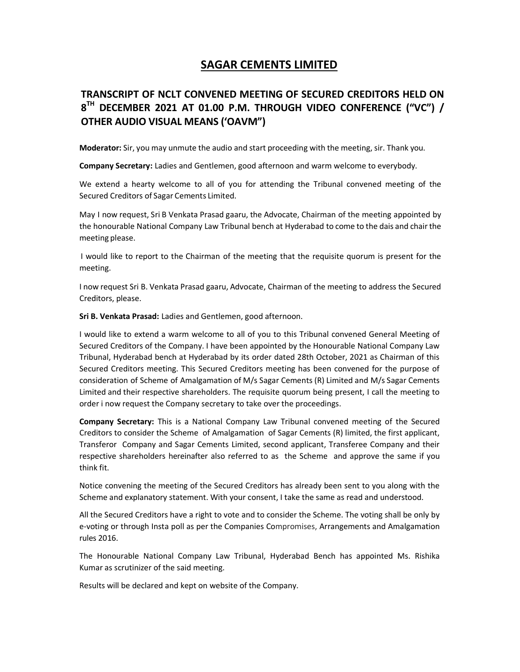## SAGAR CEMENTS LIMITED

## TRANSCRIPT OF NCLT CONVENED MEETING OF SECURED CREDITORS HELD ON  $8^{TH}$  december 2021 at 01.00 p.m. Through video conference ("VC") / OTHER AUDIO VISUAL MEANS ('OAVM")

Moderator: Sir, you may unmute the audio and start proceeding with the meeting, sir. Thank you.

Company Secretary: Ladies and Gentlemen, good afternoon and warm welcome to everybody.

We extend a hearty welcome to all of you for attending the Tribunal convened meeting of the Secured Creditors of Sagar Cements Limited.

May I now request, Sri B Venkata Prasad gaaru, the Advocate, Chairman of the meeting appointed by the honourable National Company Law Tribunal bench at Hyderabad to come to the dais and chair the meeting please.

 I would like to report to the Chairman of the meeting that the requisite quorum is present for the meeting.

I now request Sri B. Venkata Prasad gaaru, Advocate, Chairman of the meeting to address the Secured Creditors, please.

Sri B. Venkata Prasad: Ladies and Gentlemen, good afternoon.

I would like to extend a warm welcome to all of you to this Tribunal convened General Meeting of Secured Creditors of the Company. I have been appointed by the Honourable National Company Law Tribunal, Hyderabad bench at Hyderabad by its order dated 28th October, 2021 as Chairman of this Secured Creditors meeting. This Secured Creditors meeting has been convened for the purpose of consideration of Scheme of Amalgamation of M/s Sagar Cements (R) Limited and M/s Sagar Cements Limited and their respective shareholders. The requisite quorum being present, I call the meeting to order i now request the Company secretary to take over the proceedings.

Company Secretary: This is a National Company Law Tribunal convened meeting of the Secured Creditors to consider the Scheme of Amalgamation of Sagar Cements (R) limited, the first applicant, Transferor Company and Sagar Cements Limited, second applicant, Transferee Company and their respective shareholders hereinafter also referred to as the Scheme and approve the same if you think fit.

Notice convening the meeting of the Secured Creditors has already been sent to you along with the Scheme and explanatory statement. With your consent, I take the same as read and understood.

All the Secured Creditors have a right to vote and to consider the Scheme. The voting shall be only by e-voting or through Insta poll as per the Companies Compromises, Arrangements and Amalgamation rules 2016.

The Honourable National Company Law Tribunal, Hyderabad Bench has appointed Ms. Rishika Kumar as scrutinizer of the said meeting.

Results will be declared and kept on website of the Company.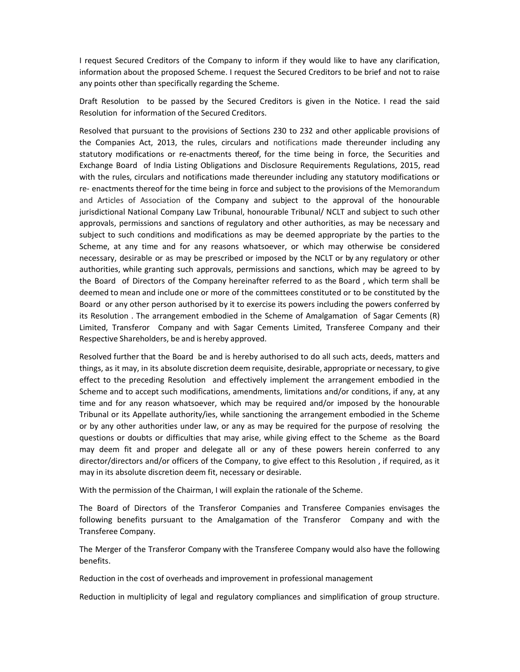I request Secured Creditors of the Company to inform if they would like to have any clarification, information about the proposed Scheme. I request the Secured Creditors to be brief and not to raise any points other than specifically regarding the Scheme.

Draft Resolution to be passed by the Secured Creditors is given in the Notice. I read the said Resolution for information of the Secured Creditors.

Resolved that pursuant to the provisions of Sections 230 to 232 and other applicable provisions of the Companies Act, 2013, the rules, circulars and notifications made thereunder including any statutory modifications or re-enactments thereof, for the time being in force, the Securities and Exchange Board of India Listing Obligations and Disclosure Requirements Regulations, 2015, read with the rules, circulars and notifications made thereunder including any statutory modifications or re- enactments thereof for the time being in force and subject to the provisions of the Memorandum and Articles of Association of the Company and subject to the approval of the honourable jurisdictional National Company Law Tribunal, honourable Tribunal/ NCLT and subject to such other approvals, permissions and sanctions of regulatory and other authorities, as may be necessary and subject to such conditions and modifications as may be deemed appropriate by the parties to the Scheme, at any time and for any reasons whatsoever, or which may otherwise be considered necessary, desirable or as may be prescribed or imposed by the NCLT or by any regulatory or other authorities, while granting such approvals, permissions and sanctions, which may be agreed to by the Board of Directors of the Company hereinafter referred to as the Board , which term shall be deemed to mean and include one or more of the committees constituted or to be constituted by the Board or any other person authorised by it to exercise its powers including the powers conferred by its Resolution . The arrangement embodied in the Scheme of Amalgamation of Sagar Cements (R) Limited, Transferor Company and with Sagar Cements Limited, Transferee Company and their Respective Shareholders, be and is hereby approved.

Resolved further that the Board be and is hereby authorised to do all such acts, deeds, matters and things, as it may, in its absolute discretion deem requisite, desirable, appropriate or necessary, to give effect to the preceding Resolution and effectively implement the arrangement embodied in the Scheme and to accept such modifications, amendments, limitations and/or conditions, if any, at any time and for any reason whatsoever, which may be required and/or imposed by the honourable Tribunal or its Appellate authority/ies, while sanctioning the arrangement embodied in the Scheme or by any other authorities under law, or any as may be required for the purpose of resolving the questions or doubts or difficulties that may arise, while giving effect to the Scheme as the Board may deem fit and proper and delegate all or any of these powers herein conferred to any director/directors and/or officers of the Company, to give effect to this Resolution , if required, as it may in its absolute discretion deem fit, necessary or desirable.

With the permission of the Chairman, I will explain the rationale of the Scheme.

The Board of Directors of the Transferor Companies and Transferee Companies envisages the following benefits pursuant to the Amalgamation of the Transferor Company and with the Transferee Company.

The Merger of the Transferor Company with the Transferee Company would also have the following benefits.

Reduction in the cost of overheads and improvement in professional management

Reduction in multiplicity of legal and regulatory compliances and simplification of group structure.